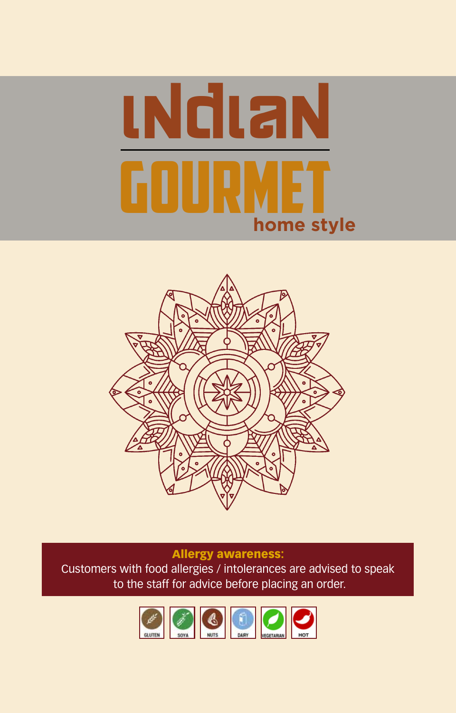



### Allergy awareness:

Customers with food allergies / intolerances are advised to speak to the staff for advice before placing an order.

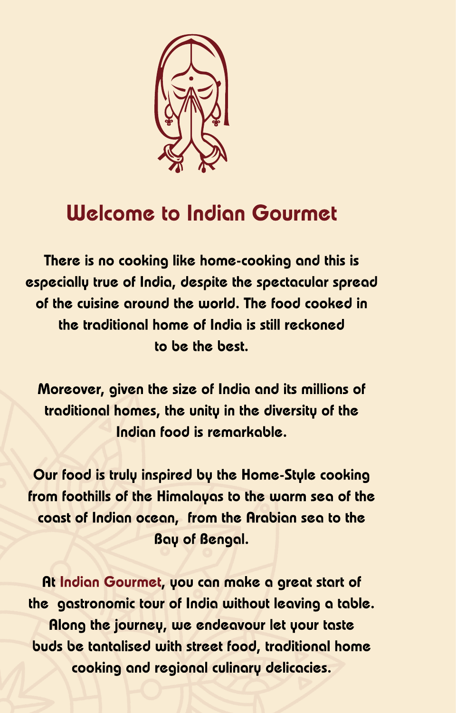

# **Welcome to Indian Gourmet**

There is no cooking like home-cooking and this is especially true of India, despite the spectacular spread of the cuisine around the world. The food cooked in the traditional home of India is still reckoned to be the best.

Moreover, given the size of India and its millions of traditional homes, the unity in the diversity of the Indian food is remarkable.

Our food is truly inspired by the Home-Style cooking from foothills of the Himalayas to the warm sea of the coast of Indian ocean, from the Arabian sea to the **Bay of Bengal.** 

At Indian Gourmet, you can make a great start of the gastronomic tour of India without leaving a table. Along the journey, we endeavour let your taste buds be tantalised with street food, traditional home cooking and regional culinary delicacies.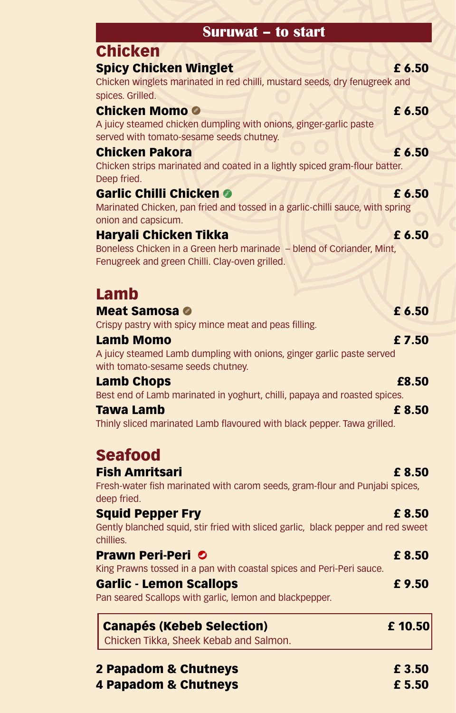# **Suruwat – to start**

# Spicy Chicken Winglet **E** 6.50

Chicken winglets marinated in red chilli, mustard seeds, dry fenugreek and spices. Grilled.

# Chicken Momo **8** 6.50

Chicken

A juicy steamed chicken dumpling with onions, ginger-garlic paste served with tomato-sesame seeds chutney.

## **Chicken Pakora E** 6.50

Chicken strips marinated and coated in a lightly spiced gram-flour batter. Deep fried.

## Garlic Chilli Chicken **O 6 6.50**

Marinated Chicken, pan fried and tossed in a garlic-chilli sauce, with spring onion and capsicum.

# Haryali Chicken Tikka £ 6.50

Boneless Chicken in a Green herb marinade – blend of Coriander, Mint, Fenugreek and green Chilli. Clay-oven grilled.

# Lamb

### Meat Samosa **a** f 6.50

Crispy pastry with spicy mince meat and peas filling.

### Lamb Momo  $\overline{2.50}$

A juicy steamed Lamb dumpling with onions, ginger garlic paste served with tomato-sesame seeds chutney.

# **Lamb Chops** <br>**E8.50**

Best end of Lamb marinated in yoghurt, chilli, papaya and roasted spices.

### Tawa Lamb £ 8.50

Thinly sliced marinated Lamb flavoured with black pepper. Tawa grilled.

### Seafood Fish Amritsari £ 8.50

Fresh-water fish marinated with carom seeds, gram-flour and Punjabi spices, deep fried.

### Squid Pepper Fry **Executive Executive Contract Contract Contract Contract Contract Contract Contract Contract Contract Contract Contract Contract Contract Contract Contract Contract Contract Contract Contract Contract Cont**

Gently blanched squid, stir fried with sliced garlic, black pepper and red sweet chillies.

### **Prawn Peri-Peri O** 6 and 10 and 10 and 10 and 10 and 10 and 10 and 10 and 10 and 10 and 10 and 10 and 10 and 10 and 10 and 10 and 10 and 10 and 10 and 10 and 10 and 10 and 10 and 10 and 10 and 10 and 10 and 10 and 10 and

King Prawns tossed in a pan with coastal spices and Peri-Peri sauce.

# Garlic - Lemon Scallops **Exercise E** 9.50

Pan seared Scallops with garlic, lemon and blackpepper.

# Canapés (Kebeb Selection) £ 10.50

Chicken Tikka, Sheek Kebab and Salmon.

# 2 Papadom & Chutneys **EXECUTE:** 2 Papadom & Chutneys 4 Papadom & Chutneys **Executive E** 5.50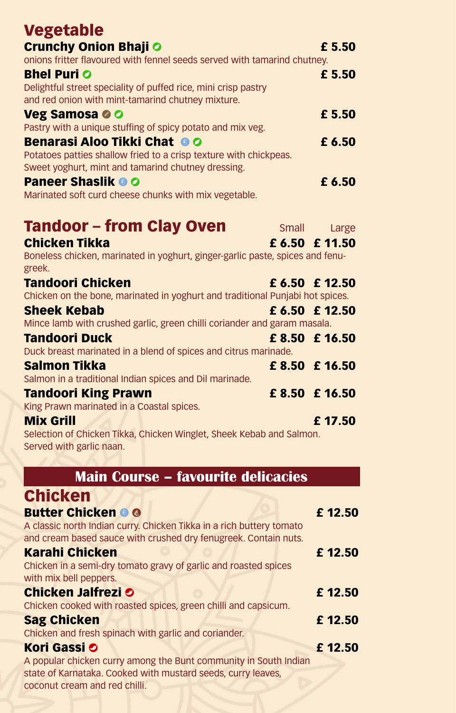| Vegetable                                                                                                               |                |
|-------------------------------------------------------------------------------------------------------------------------|----------------|
| <b>Crunchy Onion Bhaji O</b>                                                                                            | £ 5.50         |
| onions fritter flavoured with fennel seeds served with tamarind chutney.                                                |                |
| <b>Bhel Puri O</b><br>Delightful street speciality of puffed rice, mini crisp pastry                                    | £ 5.50         |
| and red onion with mint-tamarind chutney mixture.                                                                       |                |
| Veg Samosa © O                                                                                                          | £ 5.50         |
| Pastry with a unique stuffing of spicy potato and mix veg.                                                              |                |
| Benarasi Aloo Tikki Chat OO                                                                                             | £ 6.50         |
| Potatoes patties shallow fried to a crisp texture with chickpeas.<br>Sweet yoghurt, mint and tamarind chutney dressing. |                |
| <b>Paneer Shaslik © O</b>                                                                                               | £ 6.50         |
| Marinated soft curd cheese chunks with mix vegetable.                                                                   |                |
|                                                                                                                         |                |
| Tandoor – from Clay Oven                                                                                                | Small Large    |
| Chicken Tikka                                                                                                           | £ 6.50 £ 11.50 |
| Boneless chicken, marinated in yoghurt, ginger-garlic paste, spices and fenu-<br>greek.                                 |                |
| Tandoori Chicken                                                                                                        | £ 6.50 £ 12.50 |
| Chicken on the bone, marinated in yoghurt and traditional Punjabi hot spices.                                           |                |
| <b>Sheek Kebab</b>                                                                                                      | £ 6.50 £ 12.50 |
| Mince lamb with crushed garlic, green chilli coriander and garam masala.                                                |                |
| Tandoori Duck<br>Duck breast marinated in a blend of spices and citrus marinade.                                        | £ 8.50 £ 16.50 |
| Salmon Tikka                                                                                                            | £ 8.50 £ 16.50 |
| Salmon in a traditional Indian spices and Dil marinade.                                                                 |                |
| Tandoori King Prawn                                                                                                     | £ 8.50 £ 16.50 |
| King Prawn marinated in a Coastal spices.                                                                               |                |
| <b>Mix Grill</b><br>Selection of Chicken Tikka, Chicken Winglet, Sheek Kebab and Salmon.                                | £17.50         |
| Served with garlic naan.                                                                                                |                |
|                                                                                                                         |                |
| <b>Main Course - favourite delicacies</b>                                                                               |                |
| <b>Chicken</b>                                                                                                          |                |
| <b>Butter Chicken O O</b>                                                                                               | £12.50         |
| A classic north Indian curry. Chicken Tikka in a rich buttery tomato                                                    |                |
| and cream based sauce with crushed dry fenugreek. Contain nuts.                                                         |                |
| Karahi Chicken<br>Chicken in a semi-dry tomato gravy of garlic and roasted spices                                       | £12.50         |
| with mix bell peppers.                                                                                                  |                |
| <b>Chicken Jalfrezi O</b>                                                                                               | £12.50         |
| Chicken cooked with roasted spices, green chilli and capsicum.                                                          |                |
| <b>Sag Chicken</b>                                                                                                      | £12.50         |
| Chicken and fresh spinach with garlic and coriander.<br>Kori Gassi O                                                    | £12.50         |
| A popular chicken curry among the Bunt community in South Indian                                                        |                |
| state of Karnataka. Cooked with mustard seeds, curry leaves,                                                            |                |
| coconut cream and red chilli.                                                                                           |                |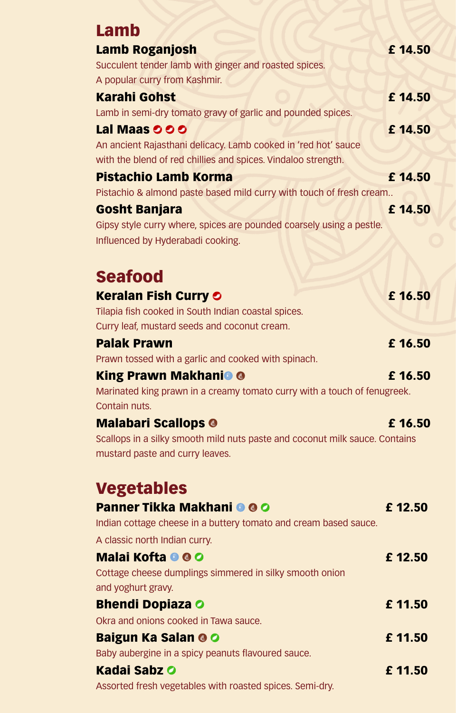| Lamb                                                                        |         |
|-----------------------------------------------------------------------------|---------|
|                                                                             | £14.50  |
| Lamb Roganjosh<br>Succulent tender lamb with ginger and roasted spices.     |         |
| A popular curry from Kashmir.                                               |         |
| <b>Karahi Gohst</b>                                                         | £ 14.50 |
| Lamb in semi-dry tomato gravy of garlic and pounded spices.                 |         |
| Lal Maas <b>OOO</b>                                                         | £14.50  |
| An ancient Rajasthani delicacy. Lamb cooked in 'red hot' sauce              |         |
| with the blend of red chillies and spices. Vindaloo strength.               |         |
| <b>Pistachio Lamb Korma</b>                                                 | £14.50  |
| Pistachio & almond paste based mild curry with touch of fresh cream         |         |
| <b>Gosht Banjara</b>                                                        | £14.50  |
| Gipsy style curry where, spices are pounded coarsely using a pestle.        |         |
| Influenced by Hyderabadi cooking.                                           |         |
|                                                                             |         |
| <b>Seafood</b>                                                              |         |
| <b>Keralan Fish Curry O</b>                                                 | £16.50  |
| Tilapia fish cooked in South Indian coastal spices.                         |         |
| Curry leaf, mustard seeds and coconut cream.                                |         |
| <b>Palak Prawn</b><br>Prawn tossed with a garlic and cooked with spinach.   | £ 16.50 |
| <b>King Prawn Makhani<sup>o</sup> O</b>                                     | £16.50  |
| Marinated king prawn in a creamy tomato curry with a touch of fenugreek.    |         |
| Contain nuts.                                                               |         |
| <b>Malabari Scallops O</b>                                                  | £16.50  |
| Scallops in a silky smooth mild nuts paste and coconut milk sauce. Contains |         |
| mustard paste and curry leaves.                                             |         |
|                                                                             |         |
| <b>Vegetables</b>                                                           |         |
| <b>Panner Tikka Makhani O O O</b>                                           | £12.50  |
| Indian cottage cheese in a buttery tomato and cream based sauce.            |         |
| A classic north Indian curry.<br>Malai Kofta O O O                          | £12.50  |
| Cottage cheese dumplings simmered in silky smooth onion                     |         |
| and yoghurt gravy.                                                          |         |
| <b>Bhendi Dopiaza O</b>                                                     | £11.50  |
| Okra and onions cooked in Tawa sauce.                                       |         |
| <b>Baigun Ka Salan O O</b>                                                  | £11.50  |
| Baby aubergine in a spicy peanuts flavoured sauce.                          |         |
| Kadai Sabz O                                                                | £11.50  |
| Assorted fresh vegetables with roasted spices. Semi-dry.                    |         |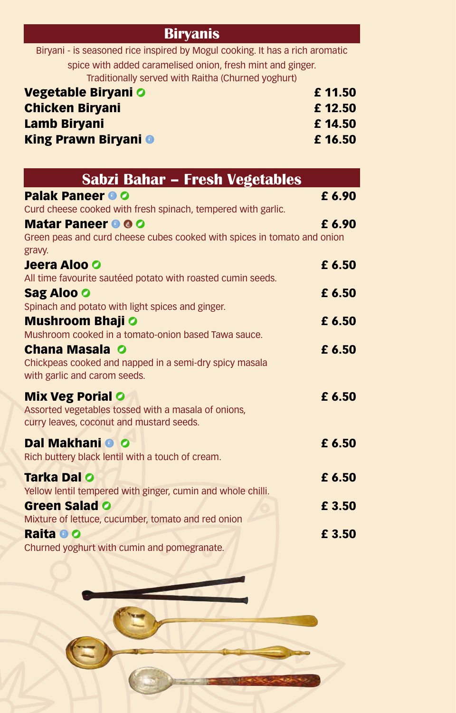## **Biryanis**

Biryani - is seasoned rice inspired by Mogul cooking. It has a rich aromatic spice with added caramelised onion, fresh mint and ginger. Traditionally served with Raitha (Churned yoghurt)

| Vegetable Biryani O         | £11.50 |
|-----------------------------|--------|
| <b>Chicken Biryani</b>      | £12.50 |
| <b>Lamb Biryani</b>         | £14.50 |
| <b>King Prawn Biryani O</b> | £16.50 |

| Sabzi Bahar – Fresh Vegetables                                                    |        |
|-----------------------------------------------------------------------------------|--------|
| <b>Palak Paneer O O</b>                                                           | £ 6.90 |
| Curd cheese cooked with fresh spinach, tempered with garlic.                      |        |
| <b>Matar Paneer O O O</b>                                                         | £ 6.90 |
| Green peas and curd cheese cubes cooked with spices in tomato and onion<br>gravy. |        |
| Jeera Aloo O                                                                      | £ 6.50 |
| All time favourite sautéed potato with roasted cumin seeds.                       |        |
| <b>Sag Aloo O</b>                                                                 | £ 6.50 |
| Spinach and potato with light spices and ginger.                                  |        |
| <b>Mushroom Bhaji O</b>                                                           | £ 6.50 |
| Mushroom cooked in a tomato-onion based Tawa sauce.                               |        |
| <b>Chana Masala O</b>                                                             | £ 6.50 |
| Chickpeas cooked and napped in a semi-dry spicy masala                            |        |
| with garlic and carom seeds.                                                      |        |
| <b>Mix Veg Porial O</b>                                                           | £ 6.50 |
| Assorted vegetables tossed with a masala of onions,                               |        |
| curry leaves, coconut and mustard seeds.                                          |        |
| Dal Makhani <sup>O</sup> O                                                        | £ 6.50 |
| Rich buttery black lentil with a touch of cream.                                  |        |
| Tarka Dal O                                                                       | £ 6.50 |
| Yellow lentil tempered with ginger, cumin and whole chilli.                       |        |
| <b>Green Salad O</b>                                                              | £ 3.50 |
| Mixture of lettuce, cucumber, tomato and red onion                                |        |
| Raita O O                                                                         | £ 3.50 |
| Churned yoghurt with cumin and pomegranate.                                       |        |

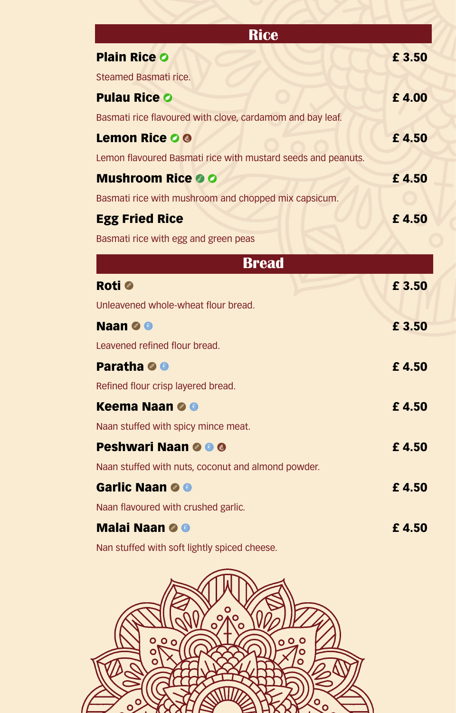| <b>Rice</b>                                                  |        |
|--------------------------------------------------------------|--------|
| <b>Plain Rice O</b>                                          | £ 3.50 |
| Steamed Basmati rice.                                        |        |
| <b>Pulau Rice O</b>                                          | £4.00  |
| Basmati rice flavoured with clove, cardamom and bay leaf.    |        |
| <b>Lemon Rice O O</b>                                        | £4.50  |
| Lemon flavoured Basmati rice with mustard seeds and peanuts. |        |
| <b>Mushroom Rice OO</b>                                      | £4.50  |
| Basmati rice with mushroom and chopped mix capsicum.         |        |
| <b>Egg Fried Rice</b>                                        | £4.50  |
| Basmati rice with egg and green peas                         |        |
| <b>Bread</b>                                                 |        |
| Roti @                                                       | £ 3.50 |
| Unleavened whole-wheat flour bread.                          |        |
| Naan <b>O</b> O                                              | £ 3.50 |
| Leavened refined flour bread.                                |        |
| <b>Paratha O O</b>                                           | £4.50  |
| Refined flour crisp layered bread.                           |        |
| <b>Keema Naan O O</b>                                        | £4.50  |
| Naan stuffed with spicy mince meat.                          |        |
| <b>Peshwari Naan O O O</b>                                   | £4.50  |
| Naan stuffed with nuts, coconut and almond powder.           |        |
| Garlic Naan O O                                              | £4.50  |
| Naan flavoured with crushed garlic.                          |        |
| <b>Malai Naan O O</b>                                        | £4.50  |
| Nan stuffed with soft lightly spiced cheese.                 |        |
|                                                              |        |